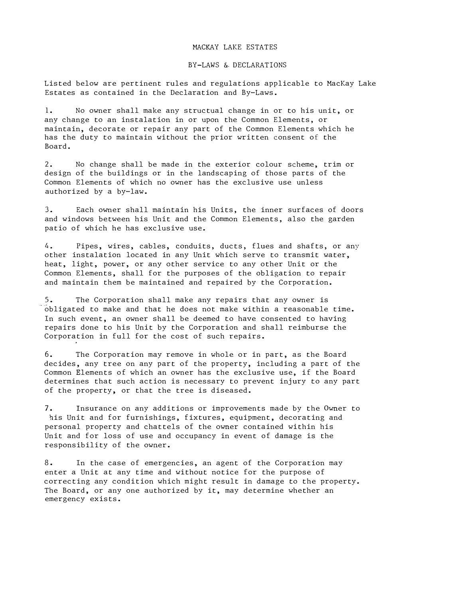## MACKAY LAKE ESTATES

## BY-LAWS & DECLARATIONS

Listed below are pertinent rules and regulations applicable to MacKay Lake Estates as contained in the Declaration and By-Laws.

1. No owner shall make any structual change in or to his unit, or any change to an instalation in or upon the Common Elements, or maintain, decorate or repair any part of the Common Elements which he has the duty to maintain without the prior written consent of the Board.

2. No change shall be made in the exterior colour scheme, trim or design of the buildings or in the landscaping of those parts of the Common Elements of which no owner has the exclusive use unless authorized by a by-law.

3. Each owner shall maintain his Units, the inner surfaces of doors and windows between his Unit and the Common Elements, also the garden patio of which he has exclusive use.

4. Pipes, wires, cables, conduits, ducts, flues and shafts, or any other instalation located in any Unit which serve to transmit water, heat, light, power, or any other service to any other Unit or the Common Elements, shall for the purposes of the obligation to repair and maintain them be maintained and repaired by the Corporation.

5. The Corporation shall make any repairs that any owner is obligated to make and that he does not make within a reasonable time. In such event, an owner shall be deemed to have consented to having repairs done to his Unit by the Corporation and shall reimburse the Corporation in full for the cost of such repairs.

6. The Corporation may remove in whole or in part, as the Board decides, any tree on any part of the property, including a part of the Common Elements of which an owner has the exclusive use, if the Board determines that such action is necessary to prevent injury to any part of the property, or that the tree is diseased.

7. Insurance on any additions or improvements made by the Owner to his Unit and for furnishings, fixtures, equipment, decorating and personal property and chattels of the owner contained within his Unit and for loss of use and occupancy in event of damage is the responsibility of the owner.

8. In the case of emergencies, an agent of the Corporation may enter a Unit at any time and without notice for the purpose of correcting any condition which might result in damage to the property. The Board, or any one authorized by it, may determine whether an emergency exists.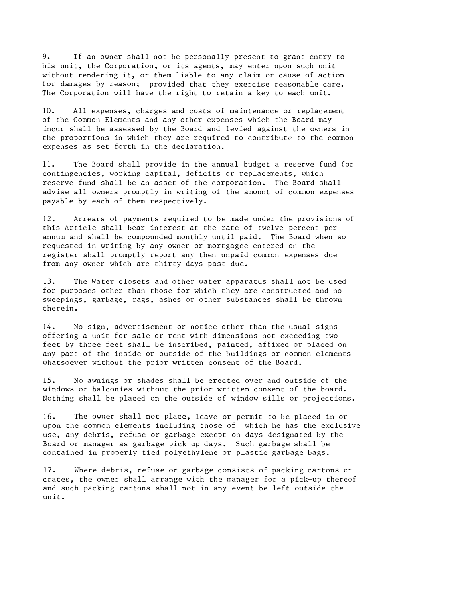9. If an owner shall not be personally present to grant entry to his unit, the Corporation, or its agents, may enter upon such unit without rendering it, or them liable to any claim or cause of action for damages by reason; provided that they exercise reasonable care. The Corporation will have the right to retain a key to each unit.

10. All expenses, charges and costs of maintenance or replacement of the Common Elements and any other expenses which the Board may incur shall be assessed by the Board and levied against the owners in the proportions in which they are required to contribute to the common expenses as set forth in the declaration.

11. The Board shall provide in the annual budget a reserve fund for contingencies, working capital, deficits or replacements, which reserve fund shall be an asset of the corporation. The Board shall advise all owners promptly in writing of the amount of common expenses payable by each of them respectively.

12. Arrears of payments required to be made under the provisions of this Article shall bear interest at the rate of twelve percent per annum and shall be compounded monthly until paid. The Board when so requested in writing by any owner or mortgagee entered on the register shall promptly report any then unpaid common expenses due from any owner which are thirty days past due.

13. The Water closets and other water apparatus shall not be used for purposes other than those for which they are constructed and no sweepings, garbage, rags, ashes or other substances shall be thrown therein.

14. No sign, advertisement or notice other than the usual signs offering a unit for sale or rent with dimensions not exceeding two feet by three feet shall be inscribed, painted, affixed or placed on any part of the inside or outside of the buildings or common elements whatsoever without the prior written consent of the Board.

15. No awnings or shades shall be erected over and outside of the windows or balconies without the prior written consent of the board. Nothing shall be placed on the outside of window sills or projections.

16. The owner shall not place, leave or permit to be placed in or upon the common elements including those of which he has the exclusive use, any debris, refuse or garbage except on days designated by the Board or manager as garbage pick up days. Such garbage shall be contained in properly tied polyethylene or plastic garbage bags.

17. Where debris, refuse or garbage consists of packing cartons or crates, the owner shall arrange **with** the manager for a pick-up thereof and such packing cartons shall not in any event be left outside the unit.